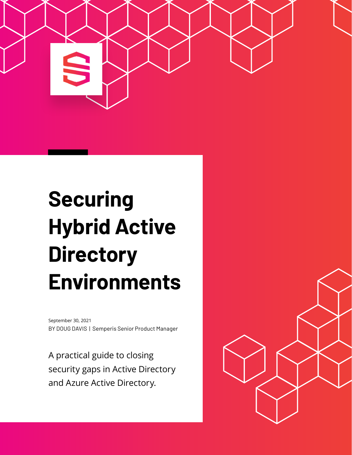

# **Securing Hybrid Active Directory Environments**

BY DOUG DAVIS | Semperis Senior Product Manager September 30, 2021

A practical guide to closing security gaps in Active Directory and Azure Active Directory.

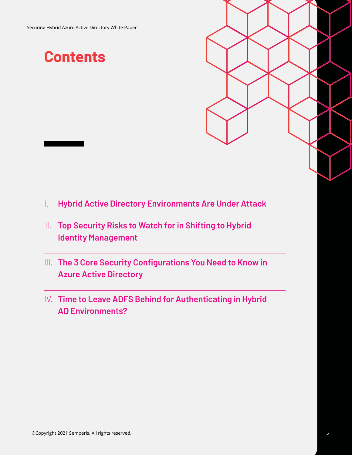### **Contents**

- I. **Hybrid Active Directory Environments Are Under Attack**
- II. **Top Security Risks to Watch for in Shifting to Hybrid Identity Management**
- III. **The 3 Core Security Configurations You Need to Know in Azure Active Directory**
- IV. **Time to Leave ADFS Behind for Authenticating in Hybrid AD Environments?**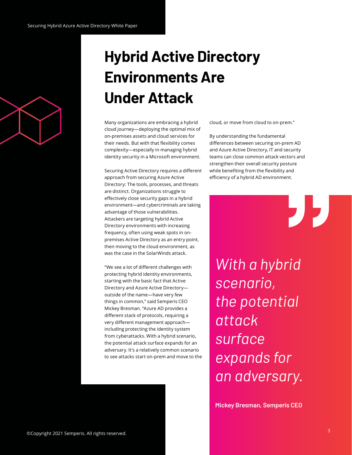

## **Hybrid Active Directory Environments Are Under Attack**

Many organizations are embracing a hybrid cloud journey—deploying the optimal mix of on-premises assets and cloud services for their needs. But with that flexibility comes complexity—especially in managing hybrid identity security in a Microsoft environment.

Securing Active Directory requires a different approach from securing Azure Active Directory: The tools, processes, and threats are distinct. Organizations struggle to effectively close security gaps in a hybrid environment—and cybercriminals are taking advantage of those vulnerabilities. Attackers are targeting hybrid Active Directory environments with increasing frequency, often using weak spots in onpremises Active Directory as an entry point, then moving to the cloud environment, as was the case in the SolarWinds attack.

"We see a lot of different challenges with protecting hybrid identity environments, starting with the basic fact that Active Directory and Azure Active Directory outside of the name—have very few things in common," said Semperis CEO Mickey Bresman. "Azure AD provides a different stack of protocols, requiring a very different management approach including protecting the identity system from cyberattacks. With a hybrid scenario, the potential attack surface expands for an adversary. It's a relatively common scenario to see attacks start on-prem and move to the cloud, or move from cloud to on-prem."

By understanding the fundamental differences between securing on-prem AD and Azure Active Directory, IT and security teams can close common attack vectors and strengthen their overall security posture while benefiting from the flexibility and efficiency of a hybrid AD environment.

"

*With a hybrid scenario, the potential attack surface expands for an adversary.*

**Mickey Bresman, Semperis CEO**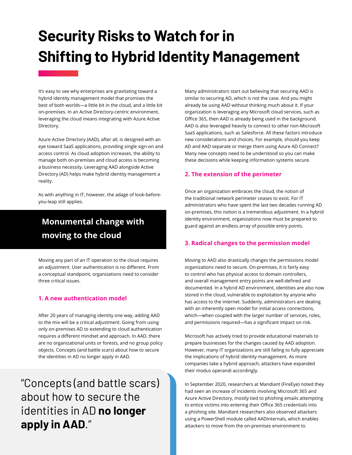## **Security Risks to Watch for in Shifting to Hybrid Identity Management**

It's easy to see why enterprises are gravitating toward a hybrid identity management model that promises the best of both worlds—a little bit in the cloud, and a little bit on-premises. In an Active Directory-centric environment, leveraging the cloud means integrating with Azure Active Directory.

Azure Active Directory (AAD), after all, is designed with an eye toward SaaS applications, providing single sign-on and access control. As cloud adoption increases, the ability to manage both on-premises and cloud access is becoming a business necessity. Leveraging AAD alongside Active Directory (AD) helps make hybrid identity management a reality.

As with anything in IT, however, the adage of look-beforeyou-leap still applies.

### **Monumental change with moving to the cloud**

Moving any part of an IT operation to the cloud requires an adjustment. User authentication is no different. From a conceptual standpoint, organizations need to consider three critical issues.

### **1. A new authentication model**

After 20 years of managing identity one way, adding AAD to the mix will be a critical adjustment. Going from using only on-premises AD to extending to cloud authentication requires a different mindset and approach. In AAD, there are no organizational units or forests, and no group policy objects. Concepts (and battle scars) about how to secure the identities in AD no longer apply in AAD.

### "Concepts (and battle scars) about how to secure the identities in AD **no longer apply in AAD**."

Many administrators start out believing that securing AAD is similar to securing AD, which is not the case. And you might already be using AAD without thinking much about it. If your organization is leveraging any Microsoft cloud services, such as Office 365, then AAD is already being used in the background. AAD is also leveraged heavily to connect to other non-Microsoft SaaS applications, such as Salesforce. All these factors introduce new considerations and choices. For example, should you keep AD and AAD separate or merge them using Azure AD Connect? Many new concepts need to be understood so you can make these decisions while keeping information systems secure.

### **2. The extension of the perimeter**

Once an organization embraces the cloud, the notion of the traditional network perimeter ceases to exist. For IT administrators who have spent the last two decades running AD on-premises, this notion is a tremendous adjustment. In a hybrid identity environment, organizations now must be prepared to guard against an endless array of possible entry points.

### **3. Radical changes to the permission model**

Moving to AAD also drastically changes the permissions model organizations need to secure. On-premises, it is fairly easy to control who has physical access to domain controllers, and overall management entry points are well-defined and documented. In a hybrid AD environment, identities are also now stored in the cloud, vulnerable to exploitation by anyone who has access to the internet. Suddenly, administrators are dealing with an inherently open model for initial access connections, which—when coupled with the larger number of services, roles, and permissions required—has a significant impact on risk.

Microsoft has actively tried to provide educational materials to prepare businesses for the changes caused by AAD adoption. However, many IT organizations are still failing to fully appreciate the implications of hybrid identity management. As more companies take a hybrid approach, attackers have expanded their modus operandi accordingly.

In September 2020, researchers at Mandiant (FireEye) noted they had seen an increase of incidents involving Microsoft 365 and Azure Active Directory, mostly tied to phishing emails attempting to entice victims into entering their Office 365 credentials into a phishing site. Mandiant researchers also observed attackers using a PowerShell module called AADInternals, which enables attackers to move from the on-premises environment to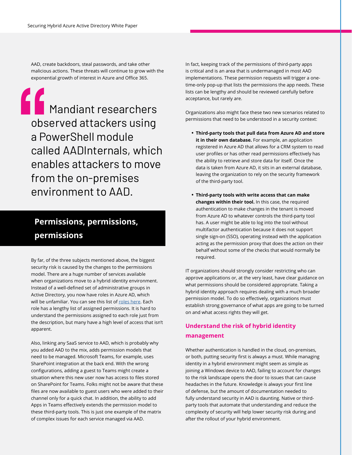AAD, create backdoors, steal passwords, and take other malicious actions. These threats will continue to grow with the exponential growth of interest in Azure and Office 365.

Mandiant researchers<br>
observed attackers using<br>
a PowerShell module<br>
called AADInternals, which observed attackers using a PowerShell module called AADInternals, which enables attackers to move from the on-premises environment to AAD.

### **Permissions, permissions, permissions**

By far, of the three subjects mentioned above, the biggest security risk is caused by the changes to the permissions model. There are a huge number of services available when organizations move to a hybrid identity environment. Instead of a well-defined set of administrative groups in Active Directory, you now have roles in Azure AD, which will be unfamiliar. You can see this list of [roles here](https://aad.portal.azure.com/#blade/Microsoft_AAD_IAM/ActiveDirectoryMenuBlade/RolesAndAdministrators). Each role has a lengthy list of assigned permissions. It is hard to understand the permissions assigned to each role just from the description, but many have a high level of access that isn't apparent.

Also, linking any SaaS service to AAD, which is probably why you added AAD to the mix, adds permission models that need to be managed. Microsoft Teams, for example, uses SharePoint integration at the back end. With the wrong configurations, adding a guest to Teams might create a situation where this new user now has access to files stored on SharePoint for Teams. Folks might not be aware that these files are now available to guest users who were added to their channel only for a quick chat. In addition, the ability to add Apps in Teams effectively extends the permission model to these third-party tools. This is just one example of the matrix of complex issues for each service managed via AAD.

In fact, keeping track of the permissions of third-party apps is critical and is an area that is undermanaged in most AAD implementations. These permission requests will trigger a onetime-only pop-up that lists the permissions the app needs. These lists can be lengthy and should be reviewed carefully before acceptance, but rarely are.

Organizations also might face these two new scenarios related to permissions that need to be understood in a security context:

- **Third-party tools that pull data from Azure AD and store it in their own database.** For example, an application registered in Azure AD that allows for a CRM system to read user profiles or has other read permissions effectively has the ability to retrieve and store data for itself. Once the data is taken from Azure AD, it sits in an external database, leaving the organization to rely on the security framework of the third-party tool.
- **Third-party tools with write access that can make changes within their tool.** In this case, the required authentication to make changes in the tenant is moved from Azure AD to whatever controls the third-party tool has. A user might be able to log into the tool without multifactor authentication because it does not support single sign-on (SSO), operating instead with the application acting as the permission proxy that does the action on their behalf without some of the checks that would normally be required.

IT organizations should strongly consider restricting who can approve applications or, at the very least, have clear guidance on what permissions should be considered appropriate. Taking a hybrid identity approach requires dealing with a much broader permission model. To do so effectively, organizations must establish strong governance of what apps are going to be turned on and what access rights they will get.

### **Understand the risk of hybrid identity management**

Whether authentication is handled in the cloud, on-premises, or both, putting security first is always a must. While managing identity in a hybrid environment might seem as simple as joining a Windows device to AAD, failing to account for changes to the risk landscape opens the door to issues that can cause headaches in the future. Knowledge is always your first line of defense, but the amount of documentation needed to fully understand security in AAD is daunting. Native or thirdparty tools that automate that understanding and reduce the complexity of security will help lower security risk during and after the rollout of your hybrid environment.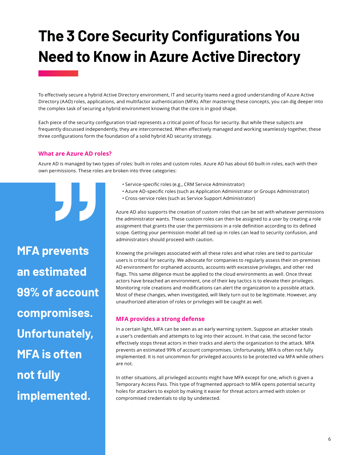## **The 3 Core Security Configurations You Need to Know in Azure Active Directory**

To effectively secure a hybrid Active Directory environment, IT and security teams need a good understanding of Azure Active Directory (AAD) roles, applications, and multifactor authentication (MFA). After mastering these concepts, you can dig deeper into the complex task of securing a hybrid environment knowing that the core is in good shape.

Each piece of the security configuration triad represents a critical point of focus for security. But while these subjects are frequently discussed independently, they are interconnected. When effectively managed and working seamlessly together, these three configurations form the foundation of a solid hybrid AD security strategy.

#### **What are Azure AD roles?**

"

Azure AD is managed by two types of roles: built-in roles and custom roles. Azure AD has about 60 built-in roles, each with their own permissions. These roles are broken into three categories:

" **MFA prevents an estimated 99% of account compromises. Unfortunately, MFA is often not fully implemented.**

- Service-specific roles (e.g., CRM Service Administrator)
- Azure AD-specific roles (such as Application Administrator or Groups Administrator)
- Cross-service roles (such as Service Support Administrator)

Azure AD also supports the creation of custom roles that can be set with whatever permissions the administrator wants. These custom roles can then be assigned to a user by creating a role assignment that grants the user the permissions in a role definition according to its defined scope. Getting your permission model all tied up in roles can lead to security confusion, and administrators should proceed with caution.

Knowing the privileges associated with all these roles and what roles are tied to particular users is critical for security. We advocate for companies to regularly assess their on-premises AD environment for orphaned accounts, accounts with excessive privileges, and other red flags. This same diligence must be applied to the cloud environments as well. Once threat actors have breached an environment, one of their key tactics is to elevate their privileges. Monitoring role creations and modifications can alert the organization to a possible attack. Most of these changes, when investigated, will likely turn out to be legitimate. However, any unauthorized alteration of roles or privileges will be caught as well.

#### **MFA provides a strong defense**

In a certain light, MFA can be seen as an early warning system. Suppose an attacker steals a user's credentials and attempts to log into their account. In that case, the second factor effectively stops threat actors in their tracks and alerts the organization to the attack. MFA prevents an estimated 99% of account compromises. Unfortunately, MFA is often not fully implemented. It is not uncommon for privileged accounts to be protected via MFA while others are not.

In other situations, all privileged accounts might have MFA except for one, which is given a Temporary Access Pass. This type of fragmented approach to MFA opens potential security holes for attackers to exploit by making it easier for threat actors armed with stolen or compromised credentials to slip by undetected.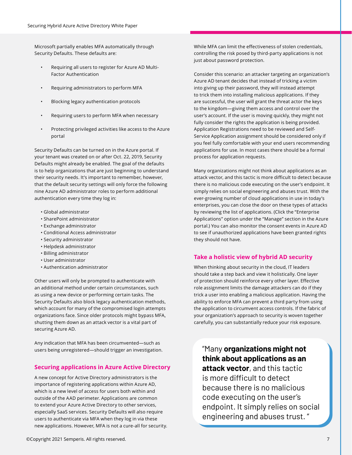Microsoft partially enables MFA automatically through Security Defaults. These defaults are:

- Requiring all users to register for Azure AD Multi-Factor Authentication
- Requiring administrators to perform MFA
- Blocking legacy authentication protocols
- Requiring users to perform MFA when necessary
- Protecting privileged activities like access to the Azure portal

Security Defaults can be turned on in the Azure portal. If your tenant was created on or after Oct. 22, 2019, Security Defaults might already be enabled. The goal of the defaults is to help organizations that are just beginning to understand their security needs. It's important to remember, however, that the default security settings will only force the following nine Azure AD administrator roles to perform additional authentication every time they log in:

- Global administrator
- SharePoint administrator
- Exchange administrator
- Conditional Access administrator
- Security administrator
- Helpdesk administrator
- Billing administrator
- User administrator
- Authentication administrator

Other users will only be prompted to authenticate with an additional method under certain circumstances, such as using a new device or performing certain tasks. The Security Defaults also block legacy authentication methods, which account for many of the compromised login attempts organizations face. Since older protocols might bypass MFA, shutting them down as an attack vector is a vital part of securing Azure AD.

Any indication that MFA has been circumvented—such as users being unregistered—should trigger an investigation.

#### **Securing applications in Azure Active Directory**

A new concept for Active Directory administrators is the importance of registering applications within Azure AD, which is a new level of access for users both within and outside of the AAD perimeter. Applications are common to extend your Azure Active Directory to other services, especially SaaS services. Security Defaults will also require users to authenticate via MFA when they log in via these new applications. However, MFA is not a cure-all for security. While MFA can limit the effectiveness of stolen credentials, controlling the risk posed by third-party applications is not just about password protection.

Consider this scenario: an attacker targeting an organization's Azure AD tenant decides that instead of tricking a victim into giving up their password, they will instead attempt to trick them into installing malicious applications. If they are successful, the user will grant the threat actor the keys to the kingdom—giving them access and control over the user's account. If the user is moving quickly, they might not fully consider the rights the application is being provided. Application Registrations need to be reviewed and Self-Service Application assignment should be considered only if you feel fully comfortable with your end users recommending applications for use. In most cases there should be a formal process for application requests.

Many organizations might not think about applications as an attack vector, and this tactic is more difficult to detect because there is no malicious code executing on the user's endpoint. It simply relies on social engineering and abuses trust. With the ever-growing number of cloud applications in use in today's enterprises, you can close the door on these types of attacks by reviewing the list of applications. (Click the "Enterprise Applications" option under the "Manage" section in the Azure portal.) You can also monitor the consent events in Azure AD to see if unauthorized applications have been granted rights they should not have.

#### **Take a holistic view of hybrid AD security**

When thinking about security in the cloud, IT leaders should take a step back and view it holistically. One layer of protection should reinforce every other layer. Effective role assignment limits the damage attackers can do if they trick a user into enabling a malicious application. Having the ability to enforce MFA can prevent a third party from using the application to circumvent access controls. If the fabric of your organization's approach to security is woven together carefully, you can substantially reduce your risk exposure.

"Many **organizations might not think about applications as an attack vector**, and this tactic is more difficult to detect because there is no malicious code executing on the user's endpoint. It simply relies on social engineering and abuses trust. "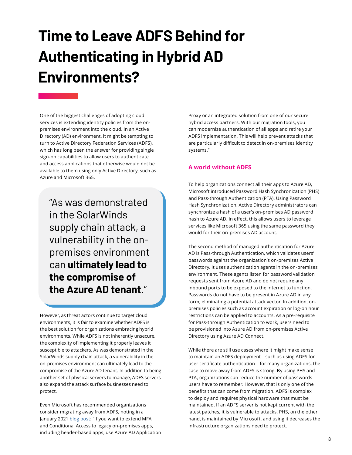## **Time to Leave ADFS Behind for Authenticating in Hybrid AD Environments?**

One of the biggest challenges of adopting cloud services is extending identity policies from the onpremises environment into the cloud. In an Active Directory (AD) environment, it might be tempting to turn to Active Directory Federation Services (ADFS), which has long been the answer for providing single sign-on capabilities to allow users to authenticate and access applications that otherwise would not be available to them using only Active Directory, such as Azure and Microsoft 365.

"As was demonstrated in the SolarWinds supply chain attack, a vulnerability in the onpremises environment can **ultimately lead to the compromise of the Azure AD tenant**."

However, as threat actors continue to target cloud environments, it is fair to examine whether ADFS is the best solution for organizations embracing hybrid environments. While ADFS is not inherently unsecure, the complexity of implementing it properly leaves it susceptible to attackers. As was demonstrated in the SolarWinds supply chain attack, a vulnerability in the on-premises environment can ultimately lead to the compromise of the Azure AD tenant. In addition to being another set of physical servers to manage, ADFS servers also expand the attack surface businesses need to protect.

Even Microsoft has recommended organizations consider migrating away from ADFS, noting in a January 2021 [blog post](https://www.microsoft.com/security/blog/2021/01/28/5-identity-priorities-for-2021-strengthening-security-for-the-hybrid-work-era-and-beyond/): "If you want to extend MFA and Conditional Access to legacy on-premises apps, including header-based apps, use Azure AD Application Proxy or an integrated solution from one of our secure hybrid access partners. With our migration tools, you can modernize authentication of all apps and retire your ADFS implementation. This will help prevent attacks that are particularly difficult to detect in on-premises identity systems."

#### **A world without ADFS**

To help organizations connect all their apps to Azure AD, Microsoft introduced Password Hash Synchronization (PHS) and Pass-through Authentication (PTA). Using Password Hash Synchronization, Active Directory administrators can synchronize a hash of a user's on-premises AD password hash to Azure AD. In effect, this allows users to leverage services like Microsoft 365 using the same password they would for their on-premises AD account.

Directory. It uses authentication agents in the on-premises environment. These agents listen for password validation requests sent from Azure AD and do not require any inbound ports to be exposed to the internet to function. Passwords do not have to be present in Azure AD in any form, eliminating a potential attack vector. In addition, onpremises policies such as account expiration or log-on hour restrictions can be applied to accounts. As a pre-requisite for Pass-through Authentication to work, users need to be provisioned into Azure AD from on-premises Active Directory using Azure AD Connect. The second method of managed authentication for Azure AD is Pass-through Authentication, which validates users' passwords against the organization's on-premises Active

While there are still use cases where it might make sense to maintain an ADFS deployment—such as using ADFS for user certificate authentication—for many organizations, the case to move away from ADFS is strong. By using PHS and PTA, organizations can reduce the number of passwords users have to remember. However, that is only one of the benefits that can come from migration. ADFS is complex to deploy and requires physical hardware that must be maintained. If an ADFS server is not kept current with the latest patches, it is vulnerable to attacks. PHS, on the other hand, is maintained by Microsoft, and using it decreases the infrastructure organizations need to protect.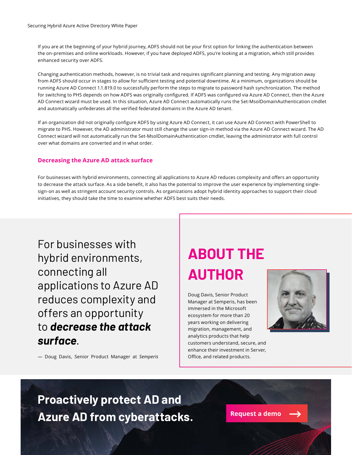If you are at the beginning of your hybrid journey, ADFS should not be your first option for linking the authentication between the on-premises and online workloads. However, if you have deployed ADFS, you're looking at a migration, which still provides enhanced security over ADFS.

Changing authentication methods, however, is no trivial task and requires significant planning and testing. Any migration away from ADFS should occur in stages to allow for sufficient testing and potential downtime. At a minimum, organizations should be running Azure AD Connect 1.1.819.0 to successfully perform the steps to migrate to password hash synchronization. The method for switching to PHS depends on how ADFS was originally configured. If ADFS was configured via Azure AD Connect, then the Azure AD Connect wizard must be used. In this situation, Azure AD Connect automatically runs the Set-MsolDomainAuthentication cmdlet and automatically unfederates all the verified federated domains in the Azure AD tenant.

If an organization did not originally configure ADFS by using Azure AD Connect, it can use Azure AD Connect with PowerShell to migrate to PHS. However, the AD administrator must still change the user sign-in method via the Azure AD Connect wizard. The AD Connect wizard will not automatically run the Set-MsolDomainAuthentication cmdlet, leaving the administrator with full control over what domains are converted and in what order.

#### **Decreasing the Azure AD attack surface**

For businesses with hybrid environments, connecting all applications to Azure AD reduces complexity and offers an opportunity to decrease the attack surface. As a side benefit, it also has the potential to improve the user experience by implementing singlesign-on as well as stringent account security controls. As organizations adopt hybrid identity approaches to support their cloud initiatives, they should take the time to examine whether ADFS best suits their needs.

For businesses with hybrid environments, connecting all applications to Azure AD reduces complexity and offers an opportunity to *decrease the attack surface*.

— Doug Davis, Senior Product Manager at *Semperis*

### **ABOUT THE AUTHOR**

Doug Davis, Senior Product Manager at Semperis, has been immersed in the Microsoft ecosystem for more than 20 years working on delivering migration, management, and analytics products that help customers understand, secure, and enhance their investment in Server, Office, and related products.



### **Proactively protect AD and Azure AD from cyberattacks.**

**[Request a demo](https://www.semperis.com/request-a-demo/)**